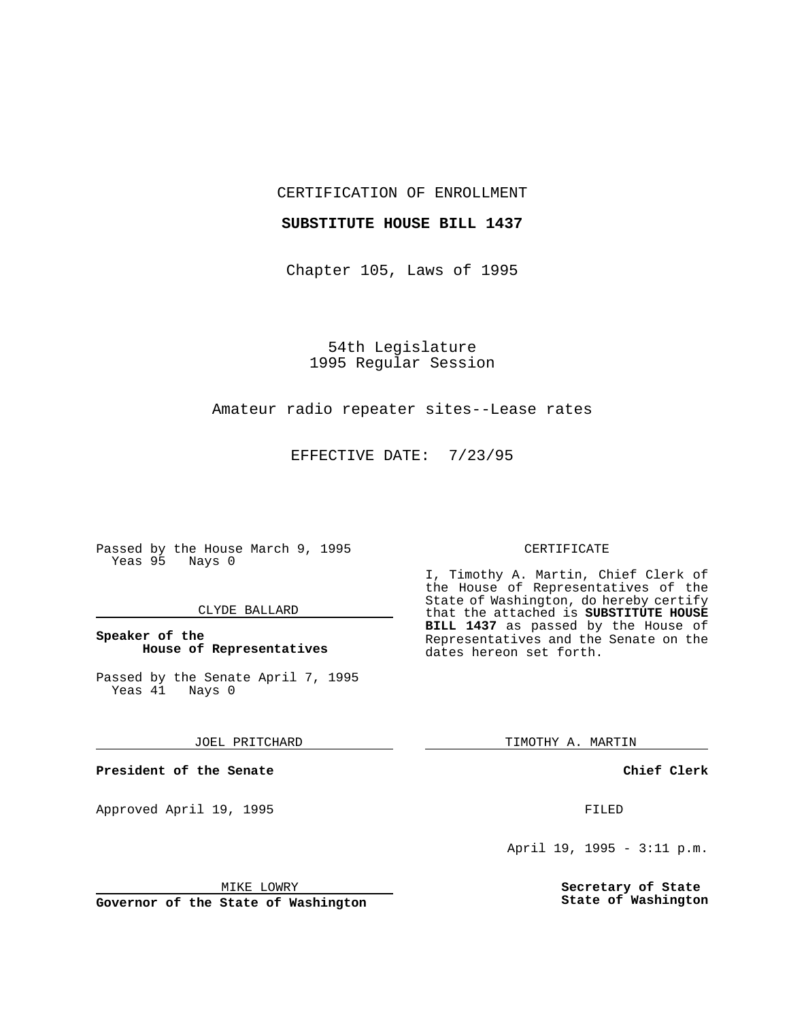CERTIFICATION OF ENROLLMENT

## **SUBSTITUTE HOUSE BILL 1437**

Chapter 105, Laws of 1995

54th Legislature 1995 Regular Session

# Amateur radio repeater sites--Lease rates

EFFECTIVE DATE: 7/23/95

Passed by the House March 9, 1995 Yeas 95 Nays 0

### CLYDE BALLARD

## **Speaker of the House of Representatives**

Passed by the Senate April 7, 1995<br>Yeas 41 Nays 0  $Yeas$  41

#### JOEL PRITCHARD

**President of the Senate**

Approved April 19, 1995 FILED

### MIKE LOWRY

**Governor of the State of Washington**

#### CERTIFICATE

I, Timothy A. Martin, Chief Clerk of the House of Representatives of the State of Washington, do hereby certify that the attached is **SUBSTITUTE HOUSE BILL 1437** as passed by the House of Representatives and the Senate on the dates hereon set forth.

TIMOTHY A. MARTIN

### **Chief Clerk**

April 19, 1995 - 3:11 p.m.

**Secretary of State State of Washington**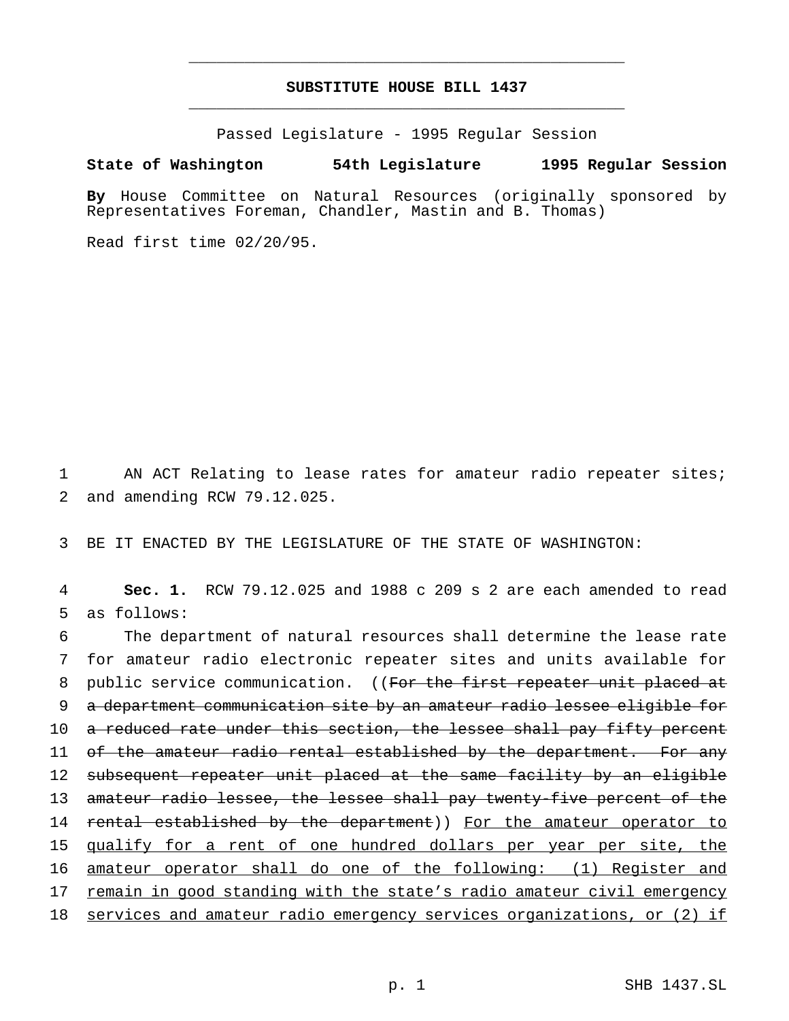# **SUBSTITUTE HOUSE BILL 1437** \_\_\_\_\_\_\_\_\_\_\_\_\_\_\_\_\_\_\_\_\_\_\_\_\_\_\_\_\_\_\_\_\_\_\_\_\_\_\_\_\_\_\_\_\_\_\_

\_\_\_\_\_\_\_\_\_\_\_\_\_\_\_\_\_\_\_\_\_\_\_\_\_\_\_\_\_\_\_\_\_\_\_\_\_\_\_\_\_\_\_\_\_\_\_

Passed Legislature - 1995 Regular Session

#### **State of Washington 54th Legislature 1995 Regular Session**

**By** House Committee on Natural Resources (originally sponsored by Representatives Foreman, Chandler, Mastin and B. Thomas)

Read first time 02/20/95.

1 AN ACT Relating to lease rates for amateur radio repeater sites; 2 and amending RCW 79.12.025.

3 BE IT ENACTED BY THE LEGISLATURE OF THE STATE OF WASHINGTON:

4 **Sec. 1.** RCW 79.12.025 and 1988 c 209 s 2 are each amended to read 5 as follows:

6 The department of natural resources shall determine the lease rate 7 for amateur radio electronic repeater sites and units available for 8 public service communication. ((For the first repeater unit placed at 9 a department communication site by an amateur radio lessee eligible for 10 a reduced rate under this section, the lessee shall pay fifty percent 11 of the amateur radio rental established by the department. For any 12 subsequent repeater unit placed at the same facility by an eligible 13 amateur radio lessee, the lessee shall pay twenty-five percent of the 14 rental established by the department)) For the amateur operator to 15 qualify for a rent of one hundred dollars per year per site, the 16 amateur operator shall do one of the following: (1) Register and 17 remain in good standing with the state's radio amateur civil emergency 18 services and amateur radio emergency services organizations, or (2) if